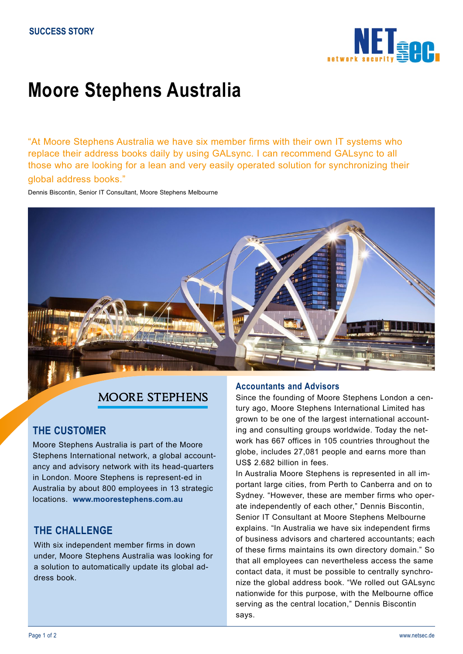

# **Moore Stephens Australia**

"At Moore Stephens Australia we have six member firms with their own IT systems who replace their address books daily by using GALsync. I can recommend GALsync to all those who are looking for a lean and very easily operated solution for synchronizing their global address books."

Dennis Biscontin, Senior IT Consultant, Moore Stephens Melbourne



# MOORE STEPHENS

# **THE CUSTOMER**

Moore Stephens Australia is part of the Moore Stephens International network, a global accountancy and advisory network with its head-quarters in London. Moore Stephens is represent-ed in Australia by about 800 employees in 13 strategic locations. **www.moorestephens.com.au**

# **THE CHALLENGE**

With six independent member firms in down under, Moore Stephens Australia was looking for a solution to automatically update its global address book.

## **Accountants and Advisors**

Since the founding of Moore Stephens London a century ago, Moore Stephens International Limited has grown to be one of the largest international accounting and consulting groups worldwide. Today the network has 667 offices in 105 countries throughout the globe, includes 27,081 people and earns more than US\$ 2.682 billion in fees.

In Australia Moore Stephens is represented in all important large cities, from Perth to Canberra and on to Sydney. "However, these are member firms who operate independently of each other," Dennis Biscontin, Senior IT Consultant at Moore Stephens Melbourne explains. "In Australia we have six independent firms of business advisors and chartered accountants; each of these firms maintains its own directory domain." So that all employees can nevertheless access the same contact data, it must be possible to centrally synchronize the global address book. "We rolled out GALsync nationwide for this purpose, with the Melbourne office serving as the central location," Dennis Biscontin says.